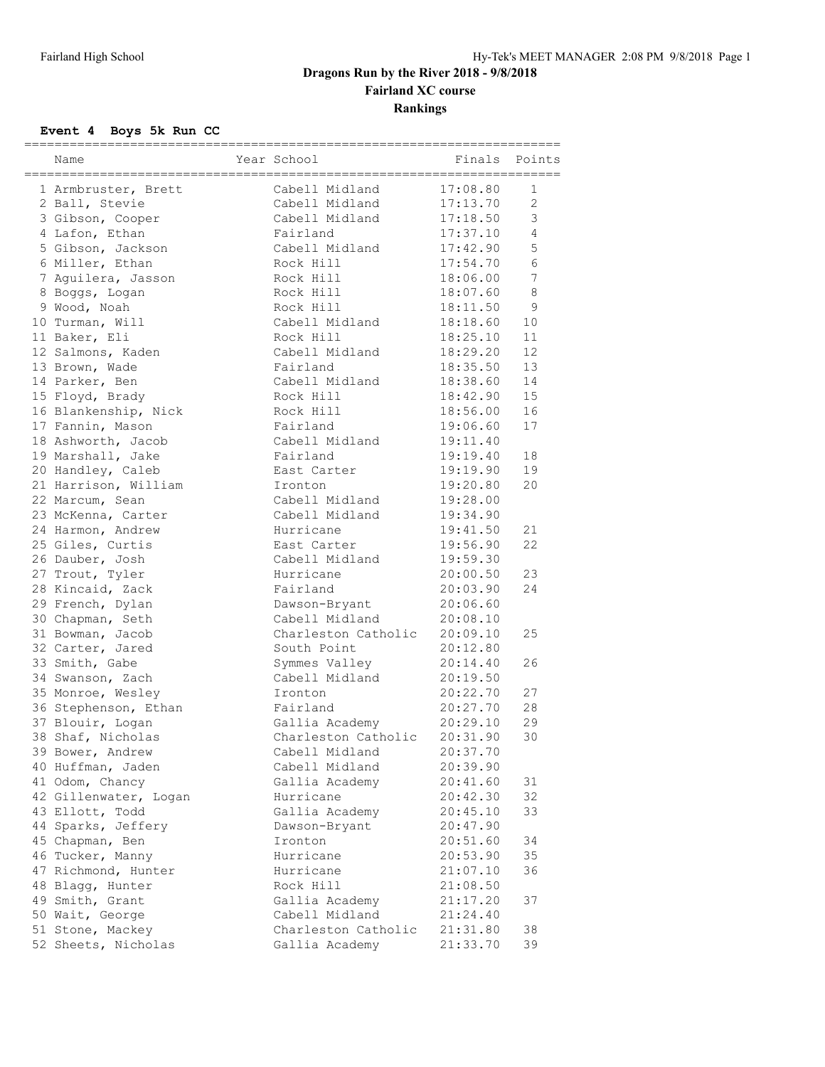# **Dragons Run by the River 2018 - 9/8/2018 Fairland XC course Rankings**

### **Event 4 Boys 5k Run CC**

| Name                                  | Year School            | ====================<br>Finals | Points          |
|---------------------------------------|------------------------|--------------------------------|-----------------|
|                                       | Cabell Midland         | 17:08.80                       | 1               |
| 1 Armbruster, Brett<br>2 Ball, Stevie | Cabell Midland         | 17:13.70                       | $\mathbf{2}$    |
| 3 Gibson, Cooper                      | Cabell Midland         | 17:18.50                       | 3               |
|                                       | Fairland               | 17:37.10                       | $\overline{4}$  |
| 4 Lafon, Ethan                        | Cabell Midland         |                                | 5               |
| 5 Gibson, Jackson                     |                        | 17:42.90                       | 6               |
| 6 Miller, Ethan                       | Rock Hill              | 17:54.70                       | $7\phantom{.0}$ |
| 7 Aguilera, Jasson                    | Rock Hill              | 18:06.00                       |                 |
| 8 Boggs, Logan<br>9 Wood, Noah        | Rock Hill<br>Rock Hill | 18:07.60                       | $\,8\,$<br>9    |
|                                       | Cabell Midland         | 18:11.50                       |                 |
| 10 Turman, Will                       |                        | 18:18.60                       | 10              |
| 11 Baker, Eli                         | Rock Hill              | 18:25.10                       | 11              |
| 12 Salmons, Kaden                     | Cabell Midland         | 18:29.20                       | 12              |
| 13 Brown, Wade                        | Fairland               | 18:35.50                       | 13              |
| 14 Parker, Ben                        | Cabell Midland         | 18:38.60                       | 14              |
| 15 Floyd, Brady                       | Rock Hill              | 18:42.90                       | 15              |
| 16 Blankenship, Nick                  | Rock Hill              | 18:56.00                       | 16              |
| 17 Fannin, Mason                      | Fairland               | 19:06.60                       | 17              |
| 18 Ashworth, Jacob                    | Cabell Midland         | 19:11.40                       |                 |
| 19 Marshall, Jake                     | Fairland               | 19:19.40                       | 18              |
| 20 Handley, Caleb                     | East Carter            | 19:19.90                       | 19              |
| 21 Harrison, William                  | Ironton                | 19:20.80                       | 20              |
| 22 Marcum, Sean                       | Cabell Midland         | 19:28.00                       |                 |
| 23 McKenna, Carter                    | Cabell Midland         | 19:34.90                       |                 |
| 24 Harmon, Andrew                     | Hurricane              | 19:41.50                       | 21              |
| 25 Giles, Curtis                      | East Carter            | 19:56.90                       | 22              |
| 26 Dauber, Josh                       | Cabell Midland         | 19:59.30                       |                 |
| 27 Trout, Tyler                       | Hurricane              | 20:00.50                       | 23              |
| 28 Kincaid, Zack                      | Fairland               | 20:03.90                       | 24              |
| 29 French, Dylan                      | Dawson-Bryant          | 20:06.60                       |                 |
| 30 Chapman, Seth                      | Cabell Midland         | 20:08.10                       |                 |
| 31 Bowman, Jacob                      | Charleston Catholic    | 20:09.10                       | 25              |
| 32 Carter, Jared                      | South Point            | 20:12.80                       |                 |
| 33 Smith, Gabe                        | Symmes Valley          | 20:14.40                       | 26              |
| 34 Swanson, Zach                      | Cabell Midland         | 20:19.50                       |                 |
| 35 Monroe, Wesley                     | Ironton                | 20:22.70                       | 27              |
| 36 Stephenson, Ethan                  | Fairland               | 20:27.70                       | 28              |
| 37 Blouir, Logan                      | Gallia Academy         | 20:29.10                       | 29              |
| 38 Shaf, Nicholas                     | Charleston Catholic    | 20:31.90                       | 30              |
| 39 Bower, Andrew                      | Cabell Midland         | 20:37.70                       |                 |
| 40 Huffman, Jaden                     | Cabell Midland         | 20:39.90                       |                 |
| 41 Odom, Chancy                       | Gallia Academy         | 20:41.60                       | 31              |
| 42 Gillenwater, Logan                 | Hurricane              | 20:42.30                       | 32              |
| 43 Ellott, Todd                       | Gallia Academy         | 20:45.10                       | 33              |
| 44 Sparks, Jeffery                    | Dawson-Bryant          | 20:47.90                       |                 |
| 45 Chapman, Ben                       | Ironton                | 20:51.60                       | 34              |
| 46 Tucker, Manny                      | Hurricane              | 20:53.90                       | 35              |
| 47 Richmond, Hunter                   | Hurricane              | 21:07.10                       | 36              |
| 48 Blagg, Hunter                      | Rock Hill              | 21:08.50                       |                 |
| 49 Smith, Grant                       | Gallia Academy         | 21:17.20                       | 37              |
| 50 Wait, George                       | Cabell Midland         | 21:24.40                       |                 |
| 51 Stone, Mackey                      | Charleston Catholic    | 21:31.80                       | 38              |
| 52 Sheets, Nicholas                   | Gallia Academy         | 21:33.70                       | 39              |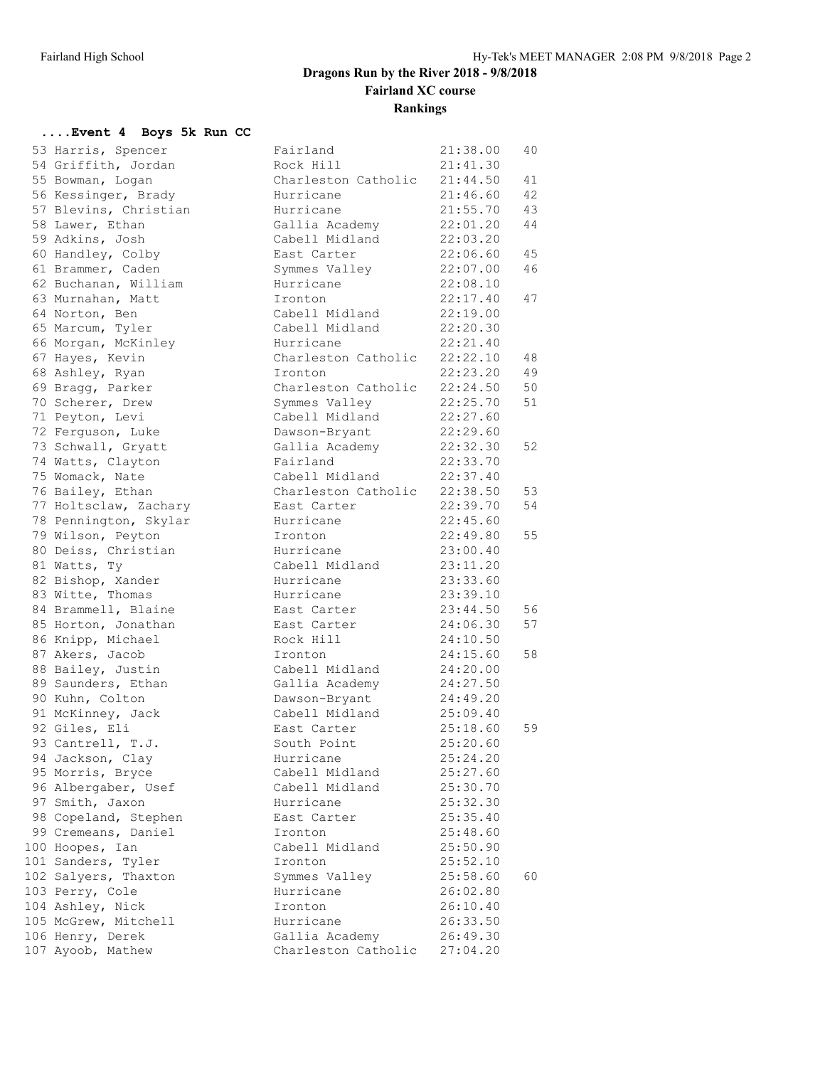# **Dragons Run by the River 2018 - 9/8/2018 Fairland XC course Rankings**

### **....Event 4 Boys 5k Run CC**

| 53 Harris, Spencer    | Fairland            | 21:38.00 | 40 |
|-----------------------|---------------------|----------|----|
| 54 Griffith, Jordan   | Rock Hill           | 21:41.30 |    |
| 55 Bowman, Logan      | Charleston Catholic | 21:44.50 | 41 |
| 56 Kessinger, Brady   | Hurricane           | 21:46.60 | 42 |
| 57 Blevins, Christian | Hurricane           | 21:55.70 | 43 |
| 58 Lawer, Ethan       | Gallia Academy      | 22:01.20 | 44 |
| 59 Adkins, Josh       | Cabell Midland      | 22:03.20 |    |
| 60 Handley, Colby     | East Carter         | 22:06.60 | 45 |
| 61 Brammer, Caden     | Symmes Valley       | 22:07.00 | 46 |
| 62 Buchanan, William  | Hurricane           | 22:08.10 |    |
| 63 Murnahan, Matt     | Ironton             | 22:17.40 | 47 |
| 64 Norton, Ben        | Cabell Midland      | 22:19.00 |    |
| 65 Marcum, Tyler      | Cabell Midland      | 22:20.30 |    |
| 66 Morgan, McKinley   | Hurricane           | 22:21.40 |    |
| 67 Hayes, Kevin       | Charleston Catholic | 22:22.10 | 48 |
| 68 Ashley, Ryan       | Ironton             | 22:23.20 | 49 |
| 69 Bragg, Parker      | Charleston Catholic | 22:24.50 | 50 |
| 70 Scherer, Drew      | Symmes Valley       | 22:25.70 | 51 |
| 71 Peyton, Levi       | Cabell Midland      | 22:27.60 |    |
| 72 Ferguson, Luke     | Dawson-Bryant       | 22:29.60 |    |
| 73 Schwall, Gryatt    | Gallia Academy      | 22:32.30 | 52 |
| 74 Watts, Clayton     | Fairland            | 22:33.70 |    |
| 75 Womack, Nate       | Cabell Midland      | 22:37.40 |    |
| 76 Bailey, Ethan      | Charleston Catholic | 22:38.50 | 53 |
| 77 Holtsclaw, Zachary | East Carter         | 22:39.70 | 54 |
| 78 Pennington, Skylar | Hurricane           | 22:45.60 |    |
| 79 Wilson, Peyton     | Ironton             | 22:49.80 | 55 |
| 80 Deiss, Christian   | Hurricane           | 23:00.40 |    |
| 81 Watts, Ty          | Cabell Midland      | 23:11.20 |    |
| 82 Bishop, Xander     | Hurricane           | 23:33.60 |    |
| 83 Witte, Thomas      | Hurricane           | 23:39.10 |    |
| 84 Brammell, Blaine   | East Carter         | 23:44.50 | 56 |
| 85 Horton, Jonathan   | East Carter         | 24:06.30 | 57 |
| 86 Knipp, Michael     | Rock Hill           | 24:10.50 |    |
| 87 Akers, Jacob       | Ironton             | 24:15.60 | 58 |
| 88 Bailey, Justin     | Cabell Midland      | 24:20.00 |    |
| 89 Saunders, Ethan    | Gallia Academy      | 24:27.50 |    |
| 90 Kuhn, Colton       | Dawson-Bryant       | 24:49.20 |    |
| 91 McKinney, Jack     | Cabell Midland      | 25:09.40 |    |
| 92 Giles, Eli         | East Carter         | 25:18.60 | 59 |
| 93 Cantrell, T.J.     | South Point         | 25:20.60 |    |
| 94 Jackson, Clay      | Hurricane           | 25:24.20 |    |
| 95 Morris, Bryce      | Cabell Midland      | 25:27.60 |    |
| 96 Albergaber, Usef   | Cabell Midland      | 25:30.70 |    |
| 97 Smith, Jaxon       | Hurricane           | 25:32.30 |    |
| 98 Copeland, Stephen  | East Carter         | 25:35.40 |    |
| 99 Cremeans, Daniel   | Ironton             | 25:48.60 |    |
| 100 Hoopes, Ian       | Cabell Midland      | 25:50.90 |    |
| 101 Sanders, Tyler    | Ironton             | 25:52.10 |    |
| 102 Salyers, Thaxton  | Symmes Valley       | 25:58.60 | 60 |
| 103 Perry, Cole       | Hurricane           | 26:02.80 |    |
| 104 Ashley, Nick      | Ironton             | 26:10.40 |    |
| 105 McGrew, Mitchell  | Hurricane           | 26:33.50 |    |
| 106 Henry, Derek      | Gallia Academy      | 26:49.30 |    |
| 107 Ayoob, Mathew     | Charleston Catholic | 27:04.20 |    |
|                       |                     |          |    |